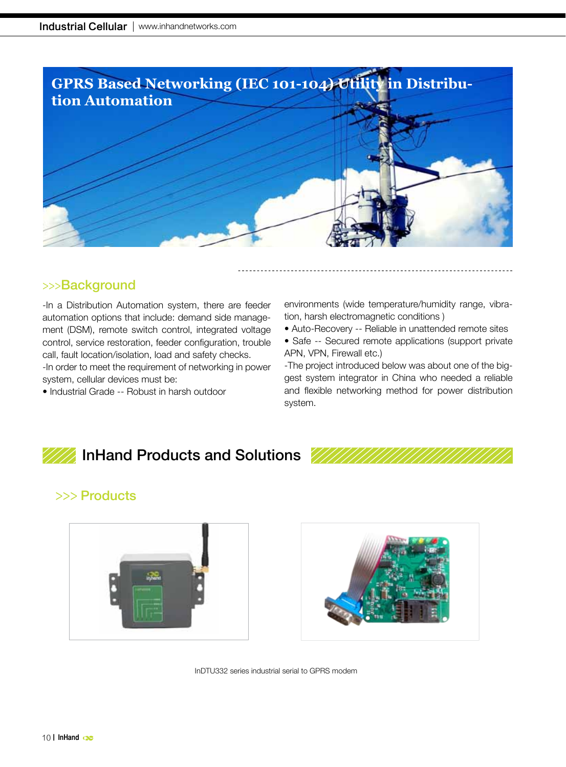

## >>>Background

-In a Distribution Automation system, there are feeder automation options that include: demand side management (DSM), remote switch control, integrated voltage control, service restoration, feeder configuration, trouble call, fault location/isolation, load and safety checks.

-In order to meet the requirement of networking in power system, cellular devices must be:

• Industrial Grade -- Robust in harsh outdoor

environments (wide temperature/humidity range, vibration, harsh electromagnetic conditions )

- Auto-Recovery -- Reliable in unattended remote sites
- Safe -- Secured remote applications (support private APN, VPN, Firewall etc.)

-The project introduced below was about one of the biggest system integrator in China who needed a reliable and flexible networking method for power distribution system.

# InHand Products and Solutions

## >>> Products





InDTU332 series industrial serial to GPRS modem